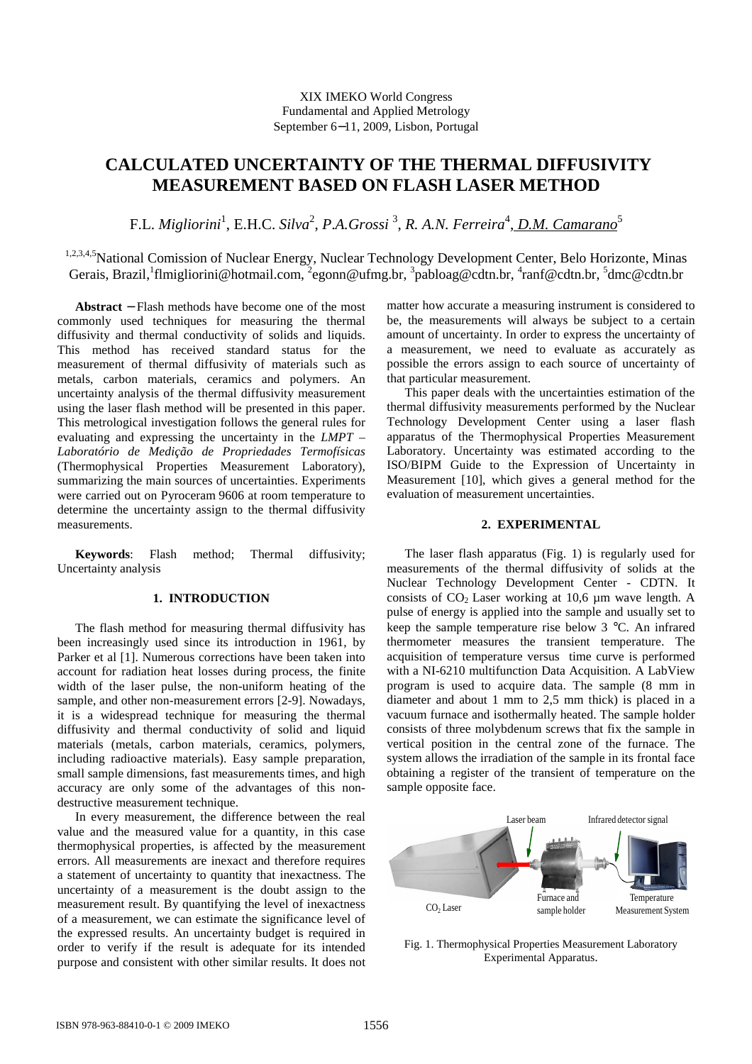# **CALCULATED UNCERTAINTY OF THE THERMAL DIFFUSIVITY MEASUREMENT BASED ON FLASH LASER METHOD**

F.L. *Migliorini*<sup>1</sup>, E.H.C. *Silva*<sup>2</sup>, P.A.Grossi<sup>3</sup>, R. A.N. Ferreira<sup>4</sup>, <u>D.M. Camarano</u><sup>5</sup>

1,2,3,4,5National Comission of Nuclear Energy, Nuclear Technology Development Center, Belo Horizonte, Minas Gerais, Brazil, <sup>1</sup>flmigliorini@hotmail.com, <sup>2</sup>egonn@ufmg.br, <sup>3</sup>pabloag@cdtn.br, <sup>4</sup>ranf@cdtn.br, <sup>5</sup>dmc@cdtn.br

**Abstract** − Flash methods have become one of the most commonly used techniques for measuring the thermal diffusivity and thermal conductivity of solids and liquids. This method has received standard status for the measurement of thermal diffusivity of materials such as metals, carbon materials, ceramics and polymers. An uncertainty analysis of the thermal diffusivity measurement using the laser flash method will be presented in this paper. This metrological investigation follows the general rules for evaluating and expressing the uncertainty in the *LMPT – Laboratório de Medição de Propriedades Termofísicas* (Thermophysical Properties Measurement Laboratory), summarizing the main sources of uncertainties. Experiments were carried out on Pyroceram 9606 at room temperature to determine the uncertainty assign to the thermal diffusivity measurements.

**Keywords**: Flash method; Thermal diffusivity; Uncertainty analysis

### **1. INTRODUCTION**

The flash method for measuring thermal diffusivity has been increasingly used since its introduction in 1961, by Parker et al [1]. Numerous corrections have been taken into account for radiation heat losses during process, the finite width of the laser pulse, the non-uniform heating of the sample, and other non-measurement errors [2-9]. Nowadays, it is a widespread technique for measuring the thermal diffusivity and thermal conductivity of solid and liquid materials (metals, carbon materials, ceramics, polymers, including radioactive materials). Easy sample preparation, small sample dimensions, fast measurements times, and high accuracy are only some of the advantages of this nondestructive measurement technique.

In every measurement, the difference between the real value and the measured value for a quantity, in this case thermophysical properties, is affected by the measurement errors. All measurements are inexact and therefore requires a statement of uncertainty to quantity that inexactness. The uncertainty of a measurement is the doubt assign to the measurement result. By quantifying the level of inexactness of a measurement, we can estimate the significance level of the expressed results. An uncertainty budget is required in order to verify if the result is adequate for its intended purpose and consistent with other similar results. It does not matter how accurate a measuring instrument is considered to be, the measurements will always be subject to a certain amount of uncertainty. In order to express the uncertainty of a measurement, we need to evaluate as accurately as possible the errors assign to each source of uncertainty of that particular measurement.

This paper deals with the uncertainties estimation of the thermal diffusivity measurements performed by the Nuclear Technology Development Center using a laser flash apparatus of the Thermophysical Properties Measurement Laboratory. Uncertainty was estimated according to the ISO/BIPM Guide to the Expression of Uncertainty in Measurement [10], which gives a general method for the evaluation of measurement uncertainties.

### **2. EXPERIMENTAL**

The laser flash apparatus (Fig. 1) is regularly used for measurements of the thermal diffusivity of solids at the Nuclear Technology Development Center - CDTN. It consists of  $CO<sub>2</sub>$  Laser working at 10,6 µm wave length. A pulse of energy is applied into the sample and usually set to keep the sample temperature rise below 3 °C. An infrared thermometer measures the transient temperature. The acquisition of temperature versus time curve is performed with a NI-6210 multifunction Data Acquisition. A LabView program is used to acquire data. The sample (8 mm in diameter and about 1 mm to 2,5 mm thick) is placed in a vacuum furnace and isothermally heated. The sample holder consists of three molybdenum screws that fix the sample in vertical position in the central zone of the furnace. The system allows the irradiation of the sample in its frontal face obtaining a register of the transient of temperature on the sample opposite face.



Fig. 1. Thermophysical Properties Measurement Laboratory Experimental Apparatus.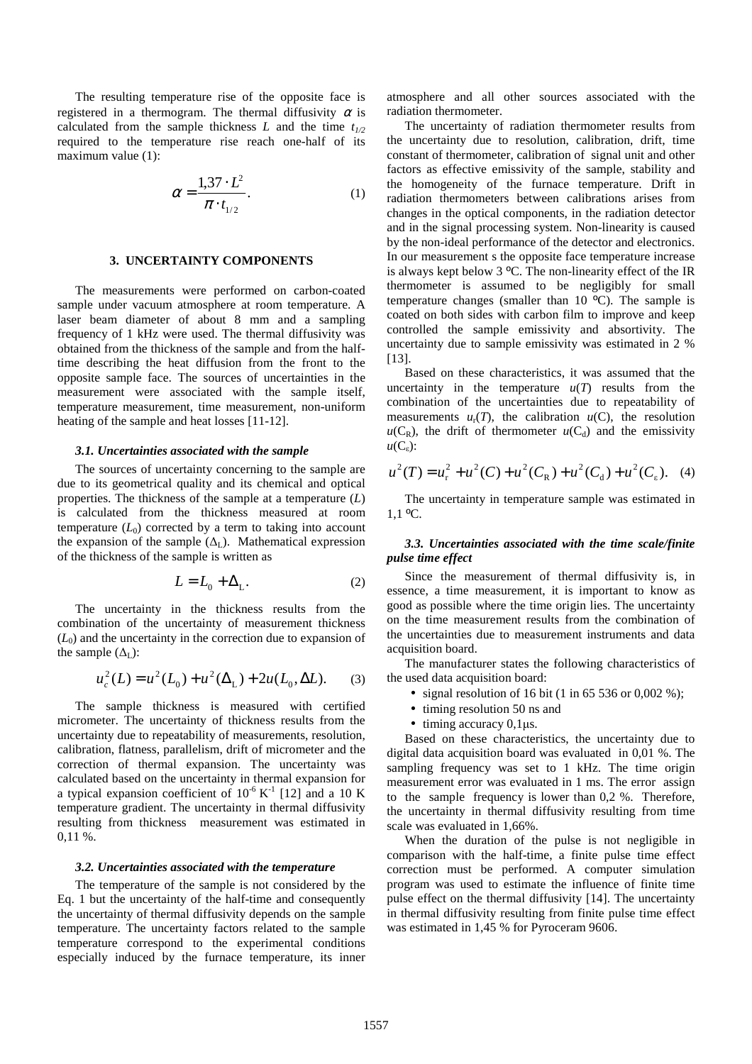The resulting temperature rise of the opposite face is registered in a thermogram. The thermal diffusivity  $\alpha$  is calculated from the sample thickness  $L$  and the time  $t_{1/2}$ required to the temperature rise reach one-half of its maximum value (1):

$$
\alpha = \frac{1,37 \cdot L^2}{\pi \cdot t_{1/2}}.
$$
 (1)

## **3. UNCERTAINTY COMPONENTS**

The measurements were performed on carbon-coated sample under vacuum atmosphere at room temperature. A laser beam diameter of about 8 mm and a sampling frequency of 1 kHz were used. The thermal diffusivity was obtained from the thickness of the sample and from the halftime describing the heat diffusion from the front to the opposite sample face. The sources of uncertainties in the measurement were associated with the sample itself, temperature measurement, time measurement, non-uniform heating of the sample and heat losses [11-12].

### *3.1. Uncertainties associated with the sample*

The sources of uncertainty concerning to the sample are due to its geometrical quality and its chemical and optical properties. The thickness of the sample at a temperature (*L*) is calculated from the thickness measured at room temperature  $(L_0)$  corrected by a term to taking into account the expansion of the sample  $(\Delta_L)$ . Mathematical expression of the thickness of the sample is written as

$$
L = L_0 + \Delta_L. \tag{2}
$$

The uncertainty in the thickness results from the combination of the uncertainty of measurement thickness  $(L<sub>0</sub>)$  and the uncertainty in the correction due to expansion of the sample  $(\Delta_L)$ :

$$
u_c^2(L) = u^2(L_0) + u^2(\Delta_L) + 2u(L_0, \Delta L). \tag{3}
$$

The sample thickness is measured with certified micrometer. The uncertainty of thickness results from the uncertainty due to repeatability of measurements, resolution, calibration, flatness, parallelism, drift of micrometer and the correction of thermal expansion. The uncertainty was calculated based on the uncertainty in thermal expansion for a typical expansion coefficient of  $10^{-6}$  K<sup>-1</sup> [12] and a 10 K temperature gradient. The uncertainty in thermal diffusivity resulting from thickness measurement was estimated in 0,11 %.

### *3.2. Uncertainties associated with the temperature*

The temperature of the sample is not considered by the Eq. 1 but the uncertainty of the half-time and consequently the uncertainty of thermal diffusivity depends on the sample temperature. The uncertainty factors related to the sample temperature correspond to the experimental conditions especially induced by the furnace temperature, its inner atmosphere and all other sources associated with the radiation thermometer.

The uncertainty of radiation thermometer results from the uncertainty due to resolution, calibration, drift, time constant of thermometer, calibration of signal unit and other factors as effective emissivity of the sample, stability and the homogeneity of the furnace temperature. Drift in radiation thermometers between calibrations arises from changes in the optical components, in the radiation detector and in the signal processing system. Non-linearity is caused by the non-ideal performance of the detector and electronics. In our measurement s the opposite face temperature increase is always kept below 3 ºC. The non-linearity effect of the IR thermometer is assumed to be negligibly for small temperature changes (smaller than  $10\degree$ C). The sample is coated on both sides with carbon film to improve and keep controlled the sample emissivity and absortivity. The uncertainty due to sample emissivity was estimated in 2 % [13].

Based on these characteristics, it was assumed that the uncertainty in the temperature  $u(T)$  results from the combination of the uncertainties due to repeatability of measurements  $u_r(T)$ , the calibration  $u(C)$ , the resolution  $u(C_R)$ , the drift of thermometer  $u(C_d)$  and the emissivity  $u(C_{\varepsilon})$ :

$$
u^{2}(T) = u_{r}^{2} + u^{2}(C) + u^{2}(C_{R}) + u^{2}(C_{d}) + u^{2}(C_{\varepsilon}). \quad (4)
$$

The uncertainty in temperature sample was estimated in  $1,1$  °C.

### *3.3. Uncertainties associated with the time scale/finite pulse time effect*

Since the measurement of thermal diffusivity is, in essence, a time measurement, it is important to know as good as possible where the time origin lies. The uncertainty on the time measurement results from the combination of the uncertainties due to measurement instruments and data acquisition board.

The manufacturer states the following characteristics of the used data acquisition board:

- signal resolution of 16 bit (1 in 65 536 or 0,002 %);
- timing resolution 50 ns and
- $\bullet$  timing accuracy 0,1 $\mu$ s.

Based on these characteristics, the uncertainty due to digital data acquisition board was evaluated in 0,01 %. The sampling frequency was set to 1 kHz. The time origin measurement error was evaluated in 1 ms. The error assign to the sample frequency is lower than 0,2 %. Therefore, the uncertainty in thermal diffusivity resulting from time scale was evaluated in 1,66%.

When the duration of the pulse is not negligible in comparison with the half-time, a finite pulse time effect correction must be performed. A computer simulation program was used to estimate the influence of finite time pulse effect on the thermal diffusivity [14]. The uncertainty in thermal diffusivity resulting from finite pulse time effect was estimated in 1,45 % for Pyroceram 9606.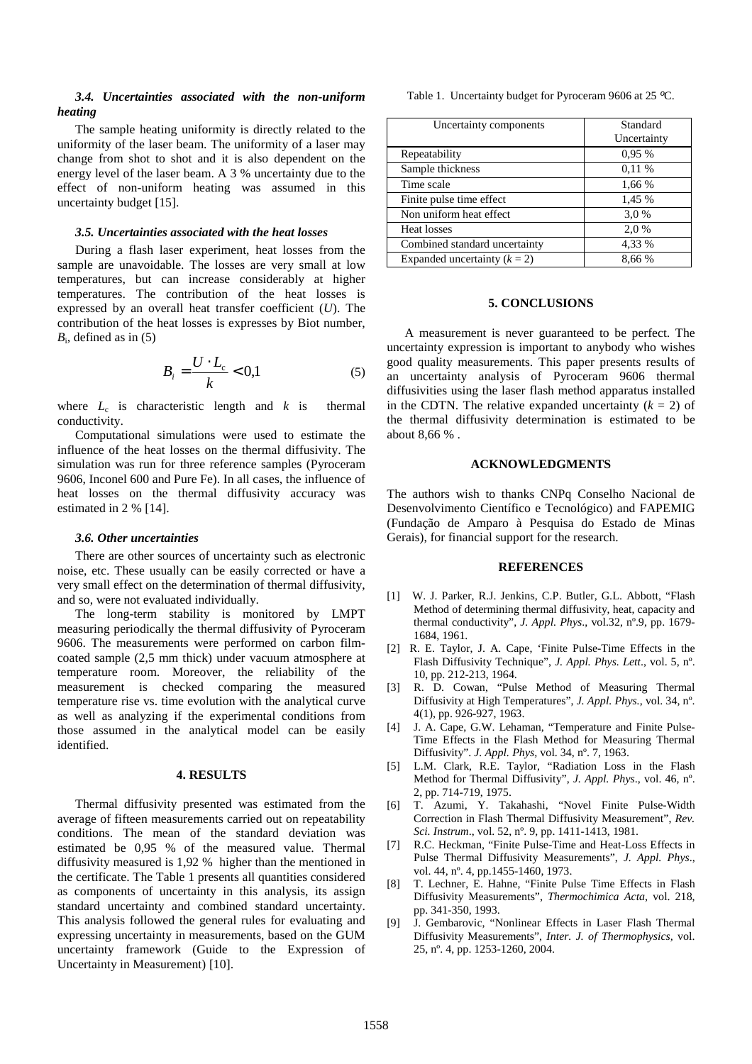### *3.4. Uncertainties associated with the non-uniform heating*

The sample heating uniformity is directly related to the uniformity of the laser beam. The uniformity of a laser may change from shot to shot and it is also dependent on the energy level of the laser beam. A 3 % uncertainty due to the effect of non-uniform heating was assumed in this uncertainty budget [15].

#### *3.5. Uncertainties associated with the heat losses*

During a flash laser experiment, heat losses from the sample are unavoidable. The losses are very small at low temperatures, but can increase considerably at higher temperatures. The contribution of the heat losses is expressed by an overall heat transfer coefficient (*U*). The contribution of the heat losses is expresses by Biot number,  $B_i$ , defined as in (5)

$$
B_i = \frac{U \cdot L_c}{k} < 0,1 \tag{5}
$$

where  $L_c$  is characteristic length and  $k$  is thermal conductivity.

Computational simulations were used to estimate the influence of the heat losses on the thermal diffusivity. The simulation was run for three reference samples (Pyroceram 9606, Inconel 600 and Pure Fe). In all cases, the influence of heat losses on the thermal diffusivity accuracy was estimated in 2 % [14].

#### *3.6. Other uncertainties*

There are other sources of uncertainty such as electronic noise, etc. These usually can be easily corrected or have a very small effect on the determination of thermal diffusivity, and so, were not evaluated individually.

The long-term stability is monitored by LMPT measuring periodically the thermal diffusivity of Pyroceram 9606. The measurements were performed on carbon filmcoated sample (2,5 mm thick) under vacuum atmosphere at temperature room. Moreover, the reliability of the measurement is checked comparing the measured temperature rise vs. time evolution with the analytical curve as well as analyzing if the experimental conditions from those assumed in the analytical model can be easily identified.

#### **4. RESULTS**

Thermal diffusivity presented was estimated from the average of fifteen measurements carried out on repeatability conditions. The mean of the standard deviation was estimated be 0,95 % of the measured value. Thermal diffusivity measured is 1,92 % higher than the mentioned in the certificate. The Table 1 presents all quantities considered as components of uncertainty in this analysis, its assign standard uncertainty and combined standard uncertainty. This analysis followed the general rules for evaluating and expressing uncertainty in measurements, based on the GUM uncertainty framework (Guide to the Expression of Uncertainty in Measurement) [10].

Table 1. Uncertainty budget for Pyroceram 9606 at 25 °C.

| Uncertainty components         | Standard<br>Uncertainty |
|--------------------------------|-------------------------|
| Repeatability                  | 0.95 %                  |
| Sample thickness               | 0.11%                   |
| Time scale                     | 1,66 %                  |
| Finite pulse time effect       | 1,45 %                  |
| Non uniform heat effect        | 3.0%                    |
| Heat losses                    | 2.0%                    |
| Combined standard uncertainty  | 4,33 %                  |
| Expanded uncertainty $(k = 2)$ | 8,66 %                  |

#### **5. CONCLUSIONS**

A measurement is never guaranteed to be perfect. The uncertainty expression is important to anybody who wishes good quality measurements. This paper presents results of an uncertainty analysis of Pyroceram 9606 thermal diffusivities using the laser flash method apparatus installed in the CDTN. The relative expanded uncertainty  $(k = 2)$  of the thermal diffusivity determination is estimated to be about 8,66 % .

### **ACKNOWLEDGMENTS**

The authors wish to thanks CNPq Conselho Nacional de Desenvolvimento Científico e Tecnológico) and FAPEMIG (Fundação de Amparo à Pesquisa do Estado de Minas Gerais), for financial support for the research.

#### **REFERENCES**

- [1] W. J. Parker, R.J. Jenkins, C.P. Butler, G.L. Abbott, "Flash Method of determining thermal diffusivity, heat, capacity and thermal conductivity", *J. Appl. Phys*., vol.32, nº.9, pp. 1679- 1684, 1961.
- [2] R. E. Taylor, J. A. Cape, 'Finite Pulse-Time Effects in the Flash Diffusivity Technique", *J. Appl. Phys. Lett*., vol. 5, nº. 10, pp. 212-213, 1964.
- [3] R. D. Cowan, "Pulse Method of Measuring Thermal Diffusivity at High Temperatures", *J. Appl. Phys.*, vol. 34, nº. 4(1), pp. 926-927, 1963.
- [4] J. A. Cape, G.W. Lehaman, "Temperature and Finite Pulse-Time Effects in the Flash Method for Measuring Thermal Diffusivity". *J. Appl. Phys,* vol. 34, nº. 7, 1963.
- [5] L.M. Clark, R.E. Taylor, "Radiation Loss in the Flash Method for Thermal Diffusivity", *J. Appl. Phys*., vol. 46, nº. 2, pp. 714-719, 1975.
- [6] T. Azumi, Y. Takahashi, "Novel Finite Pulse-Width Correction in Flash Thermal Diffusivity Measurement", *Rev. Sci. Instrum*., vol. 52, nº. 9, pp. 1411-1413, 1981.
- [7] R.C. Heckman, "Finite Pulse-Time and Heat-Loss Effects in Pulse Thermal Diffusivity Measurements", *J. Appl. Phys*., vol. 44, n°. 4, pp.1455-1460, 1973.
- [8] T. Lechner, E. Hahne, "Finite Pulse Time Effects in Flash Diffusivity Measurements", *Thermochimica Acta*, vol. 218, pp. 341-350, 1993.
- [9] J. Gembarovic, "Nonlinear Effects in Laser Flash Thermal Diffusivity Measurements", *Inter. J. of Thermophysics,* vol. 25, nº. 4, pp. 1253-1260, 2004.